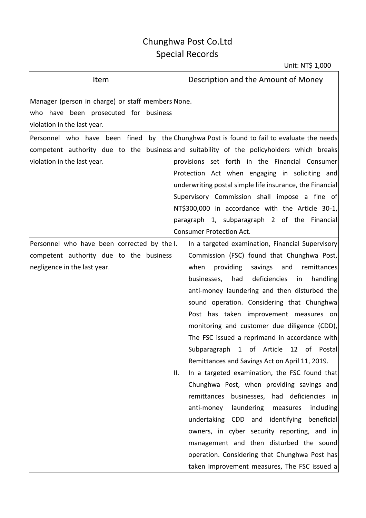## Chunghwa Post Co.Ltd Special Records

| Item                                                                                                                      | Description and the Amount of Money                                                                                                                                                                                                                                                                                                                                                                                                                                                                                                                                                                                                                                                                                                                                                                                                                                                                                                                                                                |
|---------------------------------------------------------------------------------------------------------------------------|----------------------------------------------------------------------------------------------------------------------------------------------------------------------------------------------------------------------------------------------------------------------------------------------------------------------------------------------------------------------------------------------------------------------------------------------------------------------------------------------------------------------------------------------------------------------------------------------------------------------------------------------------------------------------------------------------------------------------------------------------------------------------------------------------------------------------------------------------------------------------------------------------------------------------------------------------------------------------------------------------|
| Manager (person in charge) or staff members None.<br>who have been prosecuted for business<br>violation in the last year. |                                                                                                                                                                                                                                                                                                                                                                                                                                                                                                                                                                                                                                                                                                                                                                                                                                                                                                                                                                                                    |
| violation in the last year.                                                                                               | Personnel who have been fined by the Chunghwa Post is found to fail to evaluate the needs<br>competent authority due to the business and suitability of the policyholders which breaks<br>provisions set forth in the Financial Consumer<br>Protection Act when engaging in soliciting and<br>underwriting postal simple life insurance, the Financial<br>Supervisory Commission shall impose a fine of<br>NT\$300,000 in accordance with the Article 30-1,<br>paragraph 1, subparagraph 2 of the Financial<br><b>Consumer Protection Act.</b>                                                                                                                                                                                                                                                                                                                                                                                                                                                     |
| Personnel who have been corrected by the.<br>competent authority due to the business<br>negligence in the last year.      | In a targeted examination, Financial Supervisory<br>Commission (FSC) found that Chunghwa Post,<br>providing<br>when<br>savings<br>and<br>remittances<br>deficiencies<br>businesses,<br>had<br>handling<br>in<br>anti-money laundering and then disturbed the<br>sound operation. Considering that Chunghwa<br>Post has taken improvement measures on<br>monitoring and customer due diligence (CDD),<br>The FSC issued a reprimand in accordance with<br>Subparagraph 1 of Article 12 of Postal<br>Remittances and Savings Act on April 11, 2019.<br>In a targeted examination, the FSC found that<br>Ⅱ.<br>Chunghwa Post, when providing savings and<br>businesses, had deficiencies in<br>remittances<br>laundering measures<br>anti-money<br>including<br>undertaking CDD and identifying beneficial<br>owners, in cyber security reporting, and in<br>management and then disturbed the sound<br>operation. Considering that Chunghwa Post has<br>taken improvement measures, The FSC issued a |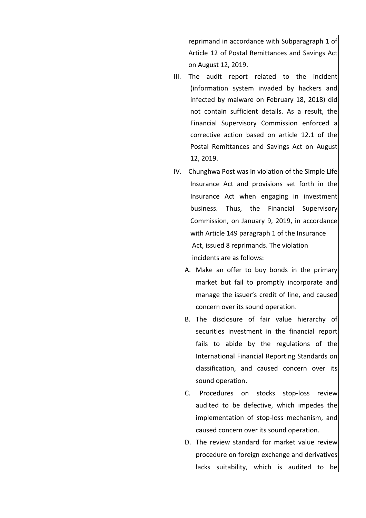reprimand in accordance with Subparagraph 1 of Article 12 of Postal Remittances and Savings Act on August 12, 2019.

- III. The audit report related to the incident (information system invaded by hackers and infected by malware on February 18, 2018) did not contain sufficient details. As a result, the Financial Supervisory Commission enforced a corrective action based on article 12.1 of the Postal Remittances and Savings Act on August 12, 2019.
- IV. Chunghwa Post was in violation of the Simple Life Insurance Act and provisions set forth in the Insurance Act when engaging in investment business. Thus, the Financial Supervisory Commission, on January 9, 2019, in accordance with Article 149 paragraph 1 of the Insurance Act, issued 8 reprimands. The violation incidents are as follows:
	- A. Make an offer to buy bonds in the primary market but fail to promptly incorporate and manage the issuer's credit of line, and caused concern over its sound operation.
	- B. The disclosure of fair value hierarchy of securities investment in the financial report fails to abide by the regulations of the International Financial Reporting Standards on classification, and caused concern over its sound operation.
	- C. Procedures on stocks stop-loss review audited to be defective, which impedes the implementation of stop-loss mechanism, and caused concern over its sound operation.
	- D. The review standard for market value review procedure on foreign exchange and derivatives lacks suitability, which is audited to be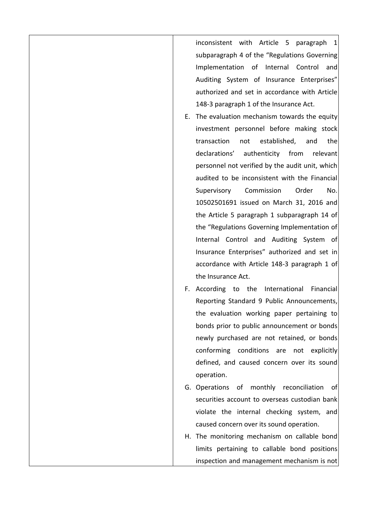inconsistent with Article 5 paragraph 1 subparagraph 4 of the "Regulations Governing Implementation of Internal Control and Auditing System of Insurance Enterprises" authorized and set in accordance with Article 148-3 paragraph 1 of the Insurance Act.

- E. The evaluation mechanism towards the equity investment personnel before making stock transaction not established, and the declarations' authenticity from relevant personnel not verified by the audit unit, which audited to be inconsistent with the Financial Supervisory Commission Order No. 10502501691 issued on March 31, 2016 and the Article 5 paragraph 1 subparagraph 14 of the "Regulations Governing Implementation of Internal Control and Auditing System of Insurance Enterprises" authorized and set in accordance with Article 148-3 paragraph 1 of the Insurance Act.
- F. According to the International Financial Reporting Standard 9 Public Announcements, the evaluation working paper pertaining to bonds prior to public announcement or bonds newly purchased are not retained, or bonds conforming conditions are not explicitly defined, and caused concern over its sound operation.
- G. Operations of monthly reconciliation of securities account to overseas custodian bank violate the internal checking system, and caused concern over its sound operation.
- H. The monitoring mechanism on callable bond limits pertaining to callable bond positions inspection and management mechanism is not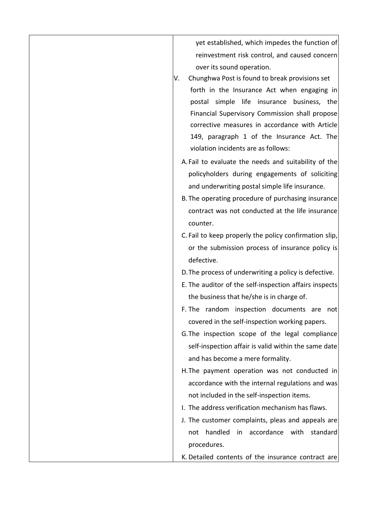yet established, which impedes the function of reinvestment risk control, and caused concern over its sound operation.

- V. Chunghwa Post is found to break provisions set forth in the Insurance Act when engaging in postal simple life insurance business, the Financial Supervisory Commission shall propose corrective measures in accordance with Article 149, paragraph 1 of the Insurance Act. The violation incidents are as follows:
	- A.Fail to evaluate the needs and suitability of the policyholders during engagements of soliciting and underwriting postal simple life insurance.
	- B. The operating procedure of purchasing insurance contract was not conducted at the life insurance counter.
	- C. Fail to keep properly the policy confirmation slip, or the submission process of insurance policy is defective.
	- D.The process of underwriting a policy is defective.
	- E. The auditor of the self-inspection affairs inspects the business that he/she is in charge of.
	- F. The random inspection documents are not covered in the self-inspection working papers.
	- G.The inspection scope of the legal compliance self-inspection affair is valid within the same date and has become a mere formality.
	- H.The payment operation was not conducted in accordance with the internal regulations and was not included in the self-inspection items.
	- I. The address verification mechanism has flaws.
	- J. The customer complaints, pleas and appeals are not handled in accordance with standard procedures.

K. Detailed contents of the insurance contract are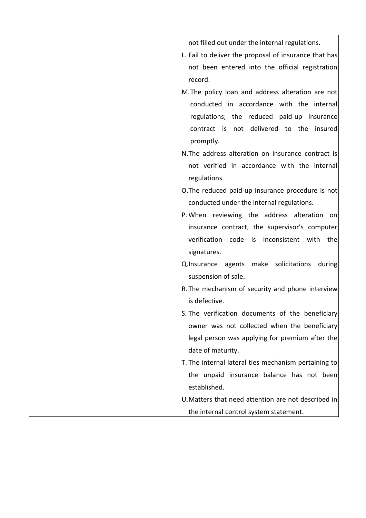| not filled out under the internal regulations.                                                  |
|-------------------------------------------------------------------------------------------------|
| L. Fail to deliver the proposal of insurance that has                                           |
| not been entered into the official registration                                                 |
| record.                                                                                         |
| M. The policy loan and address alteration are not                                               |
| conducted in accordance with the internal                                                       |
| regulations; the reduced paid-up insurance                                                      |
| contract is not delivered to the insured                                                        |
| promptly.                                                                                       |
| N. The address alteration on insurance contract is                                              |
| not verified in accordance with the internal                                                    |
| regulations.                                                                                    |
| O. The reduced paid-up insurance procedure is not                                               |
| conducted under the internal regulations.                                                       |
| P. When reviewing the address alteration on                                                     |
| insurance contract, the supervisor's computer                                                   |
| verification code is inconsistent with the                                                      |
| signatures.                                                                                     |
| Q.Insurance agents make solicitations<br>during                                                 |
| suspension of sale.                                                                             |
| R. The mechanism of security and phone interview                                                |
| is defective.                                                                                   |
| S. The verification documents of the beneficiary                                                |
| owner was not collected when the beneficiary<br>legal person was applying for premium after the |
| date of maturity.                                                                               |
| T. The internal lateral ties mechanism pertaining to                                            |
| the unpaid insurance balance has not been                                                       |
| established.                                                                                    |
| U. Matters that need attention are not described in                                             |
| the internal control system statement.                                                          |
|                                                                                                 |